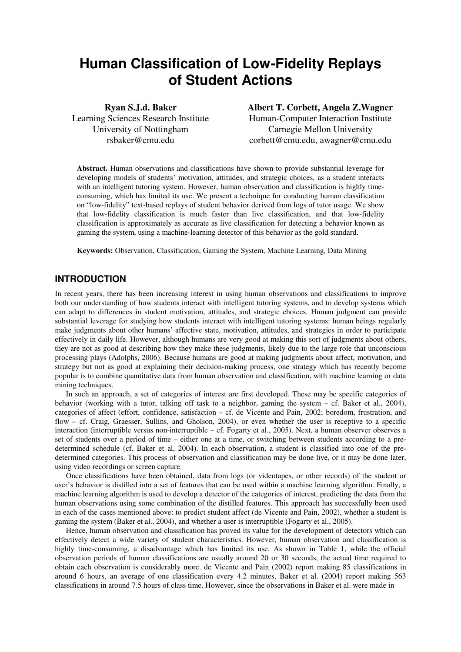# **Human Classification of Low-Fidelity Replays of Student Actions**

**Ryan S.J.d. Baker**  Learning Sciences Research Institute University of Nottingham rsbaker@cmu.edu

**Albert T. Corbett, Angela Z.Wagner**  Human-Computer Interaction Institute Carnegie Mellon University corbett@cmu.edu, awagner@cmu.edu

**Abstract.** Human observations and classifications have shown to provide substantial leverage for developing models of students' motivation, attitudes, and strategic choices, as a student interacts with an intelligent tutoring system. However, human observation and classification is highly timeconsuming, which has limited its use. We present a technique for conducting human classification on "low-fidelity" text-based replays of student behavior derived from logs of tutor usage. We show that low-fidelity classification is much faster than live classification, and that low-fidelity classification is approximately as accurate as live classification for detecting a behavior known as gaming the system, using a machine-learning detector of this behavior as the gold standard.

**Keywords:** Observation, Classification, Gaming the System, Machine Learning, Data Mining

## **INTRODUCTION**

In recent years, there has been increasing interest in using human observations and classifications to improve both our understanding of how students interact with intelligent tutoring systems, and to develop systems which can adapt to differences in student motivation, attitudes, and strategic choices. Human judgment can provide substantial leverage for studying how students interact with intelligent tutoring systems: human beings regularly make judgments about other humans' affective state, motivation, attitudes, and strategies in order to participate effectively in daily life. However, although humans are very good at making this sort of judgments about others, they are not as good at describing how they make these judgments, likely due to the large role that unconscious processing plays (Adolphs, 2006). Because humans are good at making judgments about affect, motivation, and strategy but not as good at explaining their decision-making process, one strategy which has recently become popular is to combine quantitative data from human observation and classification, with machine learning or data mining techniques.

In such an approach, a set of categories of interest are first developed. These may be specific categories of behavior (working with a tutor, talking off task to a neighbor, gaming the system – cf. Baker et al., 2004), categories of affect (effort, confidence, satisfaction – cf. de Vicente and Pain, 2002; boredom, frustration, and flow – cf. Craig, Graesser, Sullins, and Gholson, 2004), or even whether the user is receptive to a specific interaction (interruptible versus non-interruptible – cf. Fogarty et al., 2005). Next, a human observer observes a set of students over a period of time – either one at a time, or switching between students according to a predetermined schedule (cf. Baker et al, 2004). In each observation, a student is classified into one of the predetermined categories. This process of observation and classification may be done live, or it may be done later, using video recordings or screen capture.

Once classifications have been obtained, data from logs (or videotapes, or other records) of the student or user's behavior is distilled into a set of features that can be used within a machine learning algorithm. Finally, a machine learning algorithm is used to develop a detector of the categories of interest, predicting the data from the human observations using some combination of the distilled features. This approach has successfully been used in each of the cases mentioned above: to predict student affect (de Vicente and Pain, 2002), whether a student is gaming the system (Baker et al., 2004), and whether a user is interruptible (Fogarty et al., 2005).

Hence, human observation and classification has proved its value for the development of detectors which can effectively detect a wide variety of student characteristics. However, human observation and classification is highly time-consuming, a disadvantage which has limited its use. As shown in Table 1, while the official observation periods of human classifications are usually around 20 or 30 seconds, the actual time required to obtain each observation is considerably more. de Vicente and Pain (2002) report making 85 classifications in around 6 hours, an average of one classification every 4.2 minutes. Baker et al. (2004) report making 563 classifications in around 7.5 hours of class time. However, since the observations in Baker et al. were made in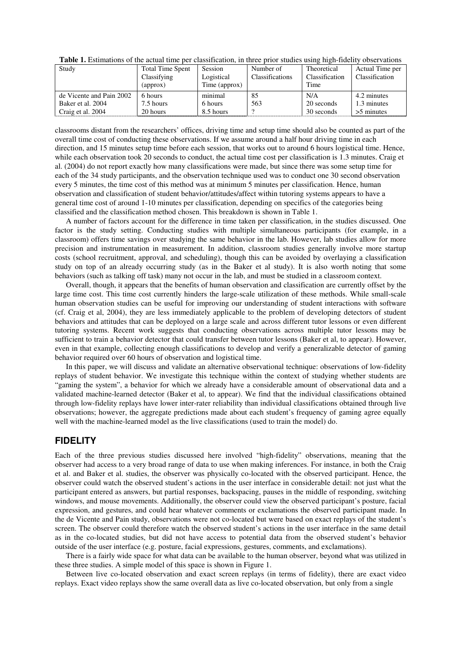| Study                    | <b>Total Time Spent</b> | Session       | Number of       | Theoretical    | Actual Time per |
|--------------------------|-------------------------|---------------|-----------------|----------------|-----------------|
|                          | Classifying             | Logistical    | Classifications | Classification | Classification  |
|                          | (approx)                | Time (approx) |                 | Time           |                 |
| de Vicente and Pain 2002 | 6 hours                 | minimal       | 85              | N/A            | 4.2 minutes     |
| Baker et al. 2004        | 7.5 hours               | 6 hours       | 563             | 20 seconds     | 1.3 minutes     |
| Craig et al. 2004        | 20 hours                | 8.5 hours     |                 | 30 seconds     | $>5$ minutes    |

**Table 1.** Estimations of the actual time per classification, in three prior studies using high-fidelity observations

classrooms distant from the researchers' offices, driving time and setup time should also be counted as part of the overall time cost of conducting these observations. If we assume around a half hour driving time in each direction, and 15 minutes setup time before each session, that works out to around 6 hours logistical time. Hence, while each observation took 20 seconds to conduct, the actual time cost per classification is 1.3 minutes. Craig et al. (2004) do not report exactly how many classifications were made, but since there was some setup time for each of the 34 study participants, and the observation technique used was to conduct one 30 second observation every 5 minutes, the time cost of this method was at minimum 5 minutes per classification. Hence, human observation and classification of student behavior/attitudes/affect within tutoring systems appears to have a general time cost of around 1-10 minutes per classification, depending on specifics of the categories being classified and the classification method chosen. This breakdown is shown in Table 1.

A number of factors account for the difference in time taken per classification, in the studies discussed. One factor is the study setting. Conducting studies with multiple simultaneous participants (for example, in a classroom) offers time savings over studying the same behavior in the lab. However, lab studies allow for more precision and instrumentation in measurement. In addition, classroom studies generally involve more startup costs (school recruitment, approval, and scheduling), though this can be avoided by overlaying a classification study on top of an already occurring study (as in the Baker et al study). It is also worth noting that some behaviors (such as talking off task) many not occur in the lab, and must be studied in a classroom context.

Overall, though, it appears that the benefits of human observation and classification are currently offset by the large time cost. This time cost currently hinders the large-scale utilization of these methods. While small-scale human observation studies can be useful for improving our understanding of student interactions with software (cf. Craig et al, 2004), they are less immediately applicable to the problem of developing detectors of student behaviors and attitudes that can be deployed on a large scale and across different tutor lessons or even different tutoring systems. Recent work suggests that conducting observations across multiple tutor lessons may be sufficient to train a behavior detector that could transfer between tutor lessons (Baker et al, to appear). However, even in that example, collecting enough classifications to develop and verify a generalizable detector of gaming behavior required over 60 hours of observation and logistical time.

In this paper, we will discuss and validate an alternative observational technique: observations of low-fidelity replays of student behavior. We investigate this technique within the context of studying whether students are "gaming the system", a behavior for which we already have a considerable amount of observational data and a validated machine-learned detector (Baker et al, to appear). We find that the individual classifications obtained through low-fidelity replays have lower inter-rater reliability than individual classifications obtained through live observations; however, the aggregate predictions made about each student's frequency of gaming agree equally well with the machine-learned model as the live classifications (used to train the model) do.

## **FIDELITY**

Each of the three previous studies discussed here involved "high-fidelity" observations, meaning that the observer had access to a very broad range of data to use when making inferences. For instance, in both the Craig et al. and Baker et al. studies, the observer was physically co-located with the observed participant. Hence, the observer could watch the observed student's actions in the user interface in considerable detail: not just what the participant entered as answers, but partial responses, backspacing, pauses in the middle of responding, switching windows, and mouse movements. Additionally, the observer could view the observed participant's posture, facial expression, and gestures, and could hear whatever comments or exclamations the observed participant made. In the de Vicente and Pain study, observations were not co-located but were based on exact replays of the student's screen. The observer could therefore watch the observed student's actions in the user interface in the same detail as in the co-located studies, but did not have access to potential data from the observed student's behavior outside of the user interface (e.g. posture, facial expressions, gestures, comments, and exclamations).

There is a fairly wide space for what data can be available to the human observer, beyond what was utilized in these three studies. A simple model of this space is shown in Figure 1.

Between live co-located observation and exact screen replays (in terms of fidelity), there are exact video replays. Exact video replays show the same overall data as live co-located observation, but only from a single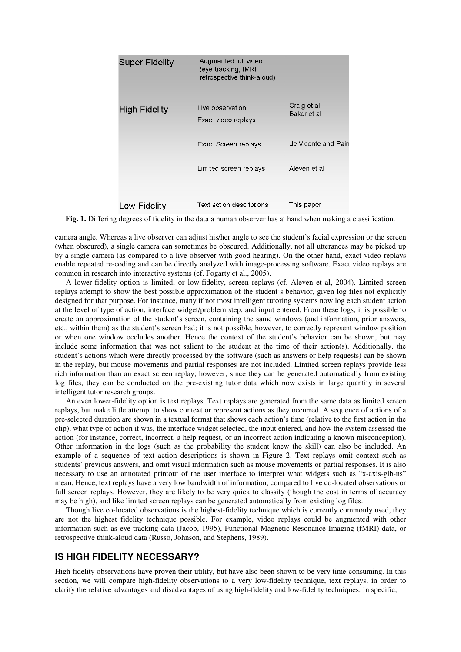| <b>Super Fidelity</b> | Augmented full video<br>(eye-tracking, fMRI,<br>retrospective think-aloud) |                            |
|-----------------------|----------------------------------------------------------------------------|----------------------------|
| <b>High Fidelity</b>  | Live observation<br>Exact video replays                                    | Craig et al<br>Baker et al |
|                       | Exact Screen replays                                                       | de Vicente and Pair        |
|                       | Limited screen replays                                                     | Aleven et al               |
| Low Fidelity          | Text action descriptions                                                   | This paper                 |

**Fig. 1.** Differing degrees of fidelity in the data a human observer has at hand when making a classification.

camera angle. Whereas a live observer can adjust his/her angle to see the student's facial expression or the screen (when obscured), a single camera can sometimes be obscured. Additionally, not all utterances may be picked up by a single camera (as compared to a live observer with good hearing). On the other hand, exact video replays enable repeated re-coding and can be directly analyzed with image-processing software. Exact video replays are common in research into interactive systems (cf. Fogarty et al., 2005).

A lower-fidelity option is limited, or low-fidelity, screen replays (cf. Aleven et al, 2004). Limited screen replays attempt to show the best possible approximation of the student's behavior, given log files not explicitly designed for that purpose. For instance, many if not most intelligent tutoring systems now log each student action at the level of type of action, interface widget/problem step, and input entered. From these logs, it is possible to create an approximation of the student's screen, containing the same windows (and information, prior answers, etc., within them) as the student's screen had; it is not possible, however, to correctly represent window position or when one window occludes another. Hence the context of the student's behavior can be shown, but may include some information that was not salient to the student at the time of their action(s). Additionally, the student's actions which were directly processed by the software (such as answers or help requests) can be shown in the replay, but mouse movements and partial responses are not included. Limited screen replays provide less rich information than an exact screen replay; however, since they can be generated automatically from existing log files, they can be conducted on the pre-existing tutor data which now exists in large quantity in several intelligent tutor research groups.

An even lower-fidelity option is text replays. Text replays are generated from the same data as limited screen replays, but make little attempt to show context or represent actions as they occurred. A sequence of actions of a pre-selected duration are shown in a textual format that shows each action's time (relative to the first action in the clip), what type of action it was, the interface widget selected, the input entered, and how the system assessed the action (for instance, correct, incorrect, a help request, or an incorrect action indicating a known misconception). Other information in the logs (such as the probability the student knew the skill) can also be included. An example of a sequence of text action descriptions is shown in Figure 2. Text replays omit context such as students' previous answers, and omit visual information such as mouse movements or partial responses. It is also necessary to use an annotated printout of the user interface to interpret what widgets such as "x-axis-glb-ns" mean. Hence, text replays have a very low bandwidth of information, compared to live co-located observations or full screen replays. However, they are likely to be very quick to classify (though the cost in terms of accuracy may be high), and like limited screen replays can be generated automatically from existing log files.

Though live co-located observations is the highest-fidelity technique which is currently commonly used, they are not the highest fidelity technique possible. For example, video replays could be augmented with other information such as eye-tracking data (Jacob, 1995), Functional Magnetic Resonance Imaging (fMRI) data, or retrospective think-aloud data (Russo, Johnson, and Stephens, 1989).

## **IS HIGH FIDELITY NECESSARY?**

High fidelity observations have proven their utility, but have also been shown to be very time-consuming. In this section, we will compare high-fidelity observations to a very low-fidelity technique, text replays, in order to clarify the relative advantages and disadvantages of using high-fidelity and low-fidelity techniques. In specific,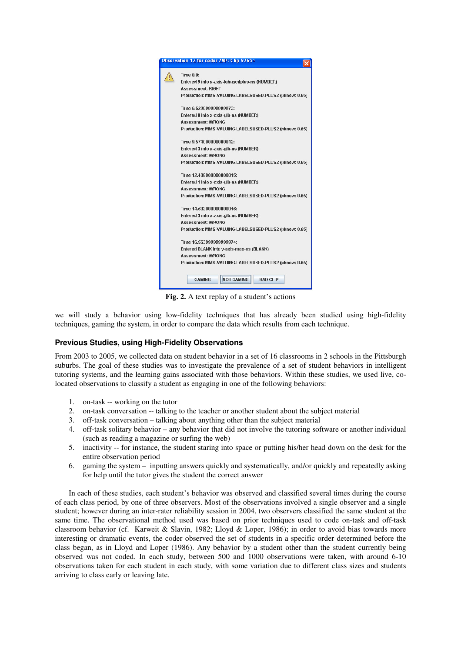| Observation 12 for coder ZAP: Clip 9765¤                                                                                                                   |
|------------------------------------------------------------------------------------------------------------------------------------------------------------|
| <b>Time 0.0:</b><br>Entered 9 into x-axis-labusedplus-ns (NUMBER)<br><b>Assessment: RIGHT</b><br>Production: MMS-VALUING-LABELSUSED-PLUS2 (pknow: 0.65)    |
| Time 6.529999999999973:<br>Entered 0 into x-axis-glb-ns (NUMBER)<br><b>Assessment: WRONG</b><br>Production: MMS-VALUING-LABELSUSED-PLUS2 (pknow: 0.65)     |
| Time 9.574000000000012:<br>Entered 3 into x-axis-glb-ns (NUMBER)<br><b>Assessment: WRONG</b><br>Production: MMS-VALUING-LABELSUSED-PLUS2 (pknow: 0.65)     |
| Time 12.408000000000015:<br>Entered 1 into x-axis-glb-ns (NUMBER)<br><b>Assessment: WRONG</b><br>Production: MMS-VALUING-LABELSUSED-PLUS2 (pknow: 0.65)    |
| Time 14.682000000000016:<br>Entered 3 into x-axis-glb-ns (NUMBER)<br>Assessment: WRONG<br>Production: MMS-VALUING-LABELSUSED-PLUS2 (pknow: 0.65)           |
| Time 16.553999999999974:<br>Entered BLANK into y-axis-max-ns (BLANK)<br><b>Assessment: WRONG</b><br>Production: MMS-VALUING-LABELSUSED-PLUS2 (pknow: 0.65) |
| <b>NOT GAMING</b><br><b>GAMING</b><br><b>BAD CLIP</b>                                                                                                      |

**Fig. 2.** A text replay of a student's actions

we will study a behavior using low-fidelity techniques that has already been studied using high-fidelity techniques, gaming the system, in order to compare the data which results from each technique.

### **Previous Studies, using High-Fidelity Observations**

From 2003 to 2005, we collected data on student behavior in a set of 16 classrooms in 2 schools in the Pittsburgh suburbs. The goal of these studies was to investigate the prevalence of a set of student behaviors in intelligent tutoring systems, and the learning gains associated with those behaviors. Within these studies, we used live, colocated observations to classify a student as engaging in one of the following behaviors:

- 1. on-task -- working on the tutor
- 2. on-task conversation -- talking to the teacher or another student about the subject material
- 3. off-task conversation talking about anything other than the subject material
- 4. off-task solitary behavior any behavior that did not involve the tutoring software or another individual (such as reading a magazine or surfing the web)
- 5. inactivity -- for instance, the student staring into space or putting his/her head down on the desk for the entire observation period
- 6. gaming the system inputting answers quickly and systematically, and/or quickly and repeatedly asking for help until the tutor gives the student the correct answer

In each of these studies, each student's behavior was observed and classified several times during the course of each class period, by one of three observers. Most of the observations involved a single observer and a single student; however during an inter-rater reliability session in 2004, two observers classified the same student at the same time. The observational method used was based on prior techniques used to code on-task and off-task classroom behavior (cf. Karweit & Slavin, 1982; Lloyd & Loper, 1986); in order to avoid bias towards more interesting or dramatic events, the coder observed the set of students in a specific order determined before the class began, as in Lloyd and Loper (1986). Any behavior by a student other than the student currently being observed was not coded. In each study, between 500 and 1000 observations were taken, with around 6-10 observations taken for each student in each study, with some variation due to different class sizes and students arriving to class early or leaving late.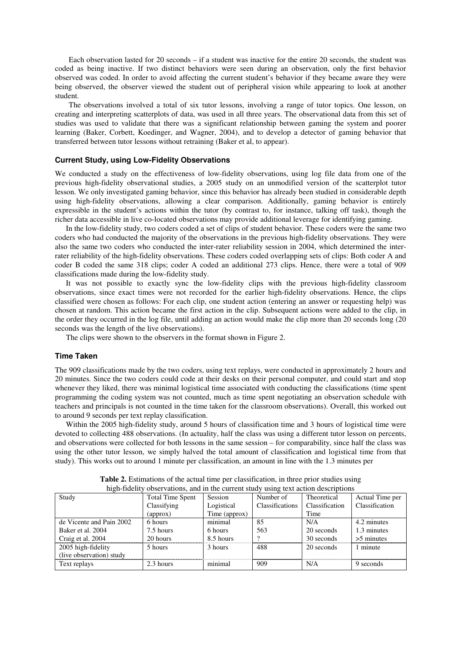Each observation lasted for 20 seconds – if a student was inactive for the entire 20 seconds, the student was coded as being inactive. If two distinct behaviors were seen during an observation, only the first behavior observed was coded. In order to avoid affecting the current student's behavior if they became aware they were being observed, the observer viewed the student out of peripheral vision while appearing to look at another student.

The observations involved a total of six tutor lessons, involving a range of tutor topics. One lesson, on creating and interpreting scatterplots of data, was used in all three years. The observational data from this set of studies was used to validate that there was a significant relationship between gaming the system and poorer learning (Baker, Corbett, Koedinger, and Wagner, 2004), and to develop a detector of gaming behavior that transferred between tutor lessons without retraining (Baker et al, to appear).

#### **Current Study, using Low-Fidelity Observations**

We conducted a study on the effectiveness of low-fidelity observations, using log file data from one of the previous high-fidelity observational studies, a 2005 study on an unmodified version of the scatterplot tutor lesson. We only investigated gaming behavior, since this behavior has already been studied in considerable depth using high-fidelity observations, allowing a clear comparison. Additionally, gaming behavior is entirely expressible in the student's actions within the tutor (by contrast to, for instance, talking off task), though the richer data accessible in live co-located observations may provide additional leverage for identifying gaming.

In the low-fidelity study, two coders coded a set of clips of student behavior. These coders were the same two coders who had conducted the majority of the observations in the previous high-fidelity observations. They were also the same two coders who conducted the inter-rater reliability session in 2004, which determined the interrater reliability of the high-fidelity observations. These coders coded overlapping sets of clips: Both coder A and coder B coded the same 318 clips; coder A coded an additional 273 clips. Hence, there were a total of 909 classifications made during the low-fidelity study.

It was not possible to exactly sync the low-fidelity clips with the previous high-fidelity classroom observations, since exact times were not recorded for the earlier high-fidelity observations. Hence, the clips classified were chosen as follows: For each clip, one student action (entering an answer or requesting help) was chosen at random. This action became the first action in the clip. Subsequent actions were added to the clip, in the order they occurred in the log file, until adding an action would make the clip more than 20 seconds long (20 seconds was the length of the live observations).

The clips were shown to the observers in the format shown in Figure 2.

#### **Time Taken**

The 909 classifications made by the two coders, using text replays, were conducted in approximately 2 hours and 20 minutes. Since the two coders could code at their desks on their personal computer, and could start and stop whenever they liked, there was minimal logistical time associated with conducting the classifications (time spent programming the coding system was not counted, much as time spent negotiating an observation schedule with teachers and principals is not counted in the time taken for the classroom observations). Overall, this worked out to around 9 seconds per text replay classification.

Within the 2005 high-fidelity study, around 5 hours of classification time and 3 hours of logistical time were devoted to collecting 488 observations. (In actuality, half the class was using a different tutor lesson on percents, and observations were collected for both lessons in the same session – for comparability, since half the class was using the other tutor lesson, we simply halved the total amount of classification and logistical time from that study). This works out to around 1 minute per classification, an amount in line with the 1.3 minutes per

| ingii-fidchty obsci vations, and in the current study using text action descriptions |                         |                |                 |                |                 |
|--------------------------------------------------------------------------------------|-------------------------|----------------|-----------------|----------------|-----------------|
| Study                                                                                | <b>Total Time Spent</b> | <b>Session</b> | Number of       | Theoretical    | Actual Time per |
|                                                                                      | Classifying             | Logistical     | Classifications | Classification | Classification  |
|                                                                                      | (approx)                | Time (approx)  |                 | Time           |                 |
| de Vicente and Pain 2002                                                             | 6 hours                 | minimal        | 85              | N/A            | 4.2 minutes     |
| Baker et al. 2004                                                                    | 7.5 hours               | 6 hours        | 563             | 20 seconds     | 1.3 minutes     |
| Craig et al. 2004                                                                    | 20 hours                | 8.5 hours      |                 | 30 seconds     | $>5$ minutes    |
| 2005 high-fidelity                                                                   | 5 hours                 | 3 hours        | 488             | 20 seconds     | 1 minute        |
| (live observation) study                                                             |                         |                |                 |                |                 |
| Text replays                                                                         | 2.3 hours               | minimal        | 909             | N/A            | 9 seconds       |

**Table 2.** Estimations of the actual time per classification, in three prior studies using high-fidelity observations, and in the current study using text action descriptions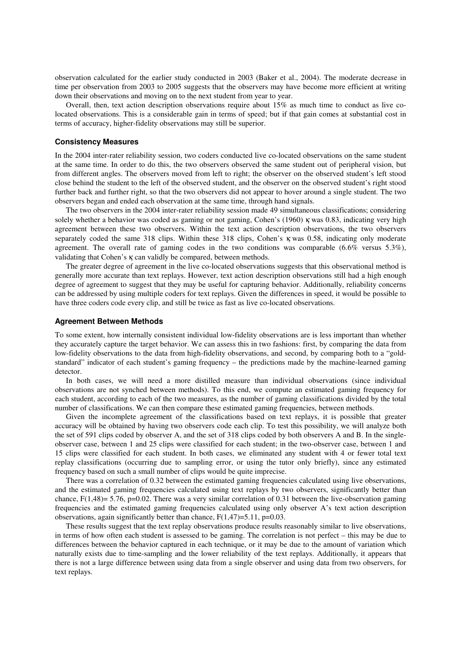observation calculated for the earlier study conducted in 2003 (Baker et al., 2004). The moderate decrease in time per observation from 2003 to 2005 suggests that the observers may have become more efficient at writing down their observations and moving on to the next student from year to year.

Overall, then, text action description observations require about 15% as much time to conduct as live colocated observations. This is a considerable gain in terms of speed; but if that gain comes at substantial cost in terms of accuracy, higher-fidelity observations may still be superior.

#### **Consistency Measures**

In the 2004 inter-rater reliability session, two coders conducted live co-located observations on the same student at the same time. In order to do this, the two observers observed the same student out of peripheral vision, but from different angles. The observers moved from left to right; the observer on the observed student's left stood close behind the student to the left of the observed student, and the observer on the observed student's right stood further back and further right, so that the two observers did not appear to hover around a single student. The two observers began and ended each observation at the same time, through hand signals.

The two observers in the 2004 inter-rater reliability session made 49 simultaneous classifications; considering solely whether a behavior was coded as gaming or not gaming, Cohen's (1960) κ was 0.83, indicating very high agreement between these two observers. Within the text action description observations, the two observers separately coded the same 318 clips. Within these 318 clips, Cohen's κ was 0.58, indicating only moderate agreement. The overall rate of gaming codes in the two conditions was comparable  $(6.6\%$  versus  $5.3\%)$ , validating that Cohen's κ can validly be compared, between methods.

The greater degree of agreement in the live co-located observations suggests that this observational method is generally more accurate than text replays. However, text action description observations still had a high enough degree of agreement to suggest that they may be useful for capturing behavior. Additionally, reliability concerns can be addressed by using multiple coders for text replays. Given the differences in speed, it would be possible to have three coders code every clip, and still be twice as fast as live co-located observations.

#### **Agreement Between Methods**

To some extent, how internally consistent individual low-fidelity observations are is less important than whether they accurately capture the target behavior. We can assess this in two fashions: first, by comparing the data from low-fidelity observations to the data from high-fidelity observations, and second, by comparing both to a "goldstandard" indicator of each student's gaming frequency – the predictions made by the machine-learned gaming detector.

In both cases, we will need a more distilled measure than individual observations (since individual observations are not synched between methods). To this end, we compute an estimated gaming frequency for each student, according to each of the two measures, as the number of gaming classifications divided by the total number of classifications. We can then compare these estimated gaming frequencies, between methods.

Given the incomplete agreement of the classifications based on text replays, it is possible that greater accuracy will be obtained by having two observers code each clip. To test this possibility, we will analyze both the set of 591 clips coded by observer A, and the set of 318 clips coded by both observers A and B. In the singleobserver case, between 1 and 25 clips were classified for each student; in the two-observer case, between 1 and 15 clips were classified for each student. In both cases, we eliminated any student with 4 or fewer total text replay classifications (occurring due to sampling error, or using the tutor only briefly), since any estimated frequency based on such a small number of clips would be quite imprecise.

There was a correlation of 0.32 between the estimated gaming frequencies calculated using live observations, and the estimated gaming frequencies calculated using text replays by two observers, significantly better than chance,  $F(1,48)= 5.76$ , p=0.02. There was a very similar correlation of 0.31 between the live-observation gaming frequencies and the estimated gaming frequencies calculated using only observer A's text action description observations, again significantly better than chance,  $F(1,47)=5.11$ ,  $p=0.03$ .

These results suggest that the text replay observations produce results reasonably similar to live observations, in terms of how often each student is assessed to be gaming. The correlation is not perfect – this may be due to differences between the behavior captured in each technique, or it may be due to the amount of variation which naturally exists due to time-sampling and the lower reliability of the text replays. Additionally, it appears that there is not a large difference between using data from a single observer and using data from two observers, for text replays.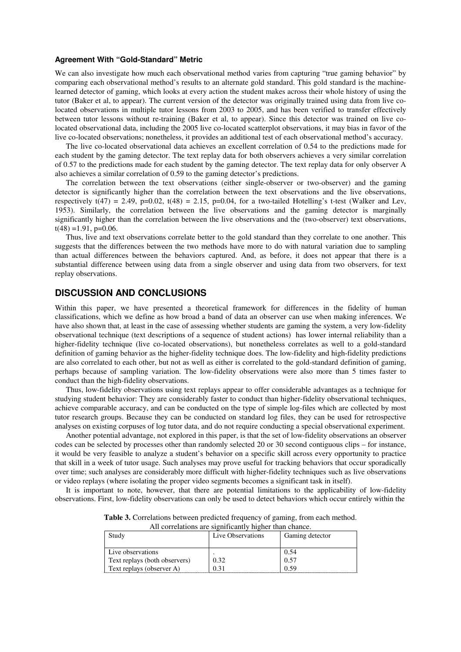#### **Agreement With "Gold-Standard" Metric**

We can also investigate how much each observational method varies from capturing "true gaming behavior" by comparing each observational method's results to an alternate gold standard. This gold standard is the machinelearned detector of gaming, which looks at every action the student makes across their whole history of using the tutor (Baker et al, to appear). The current version of the detector was originally trained using data from live colocated observations in multiple tutor lessons from 2003 to 2005, and has been verified to transfer effectively between tutor lessons without re-training (Baker et al, to appear). Since this detector was trained on live colocated observational data, including the 2005 live co-located scatterplot observations, it may bias in favor of the live co-located observations; nonetheless, it provides an additional test of each observational method's accuracy.

The live co-located observational data achieves an excellent correlation of 0.54 to the predictions made for each student by the gaming detector. The text replay data for both observers achieves a very similar correlation of 0.57 to the predictions made for each student by the gaming detector. The text replay data for only observer A also achieves a similar correlation of 0.59 to the gaming detector's predictions.

The correlation between the text observations (either single-observer or two-observer) and the gaming detector is significantly higher than the correlation between the text observations and the live observations, respectively  $t(47) = 2.49$ ,  $p=0.02$ ,  $t(48) = 2.15$ ,  $p=0.04$ , for a two-tailed Hotelling's t-test (Walker and Lev, 1953). Similarly, the correlation between the live observations and the gaming detector is marginally significantly higher than the correlation between the live observations and the (two-observer) text observations,  $t(48) = 1.91$ , p=0.06.

Thus, live and text observations correlate better to the gold standard than they correlate to one another. This suggests that the differences between the two methods have more to do with natural variation due to sampling than actual differences between the behaviors captured. And, as before, it does not appear that there is a substantial difference between using data from a single observer and using data from two observers, for text replay observations.

## **DISCUSSION AND CONCLUSIONS**

Within this paper, we have presented a theoretical framework for differences in the fidelity of human classifications, which we define as how broad a band of data an observer can use when making inferences. We have also shown that, at least in the case of assessing whether students are gaming the system, a very low-fidelity observational technique (text descriptions of a sequence of student actions) has lower internal reliability than a higher-fidelity technique (live co-located observations), but nonetheless correlates as well to a gold-standard definition of gaming behavior as the higher-fidelity technique does. The low-fidelity and high-fidelity predictions are also correlated to each other, but not as well as either is correlated to the gold-standard definition of gaming, perhaps because of sampling variation. The low-fidelity observations were also more than 5 times faster to conduct than the high-fidelity observations.

Thus, low-fidelity observations using text replays appear to offer considerable advantages as a technique for studying student behavior: They are considerably faster to conduct than higher-fidelity observational techniques, achieve comparable accuracy, and can be conducted on the type of simple log-files which are collected by most tutor research groups. Because they can be conducted on standard log files, they can be used for retrospective analyses on existing corpuses of log tutor data, and do not require conducting a special observational experiment.

Another potential advantage, not explored in this paper, is that the set of low-fidelity observations an observer codes can be selected by processes other than randomly selected 20 or 30 second contiguous clips – for instance, it would be very feasible to analyze a student's behavior on a specific skill across every opportunity to practice that skill in a week of tutor usage. Such analyses may prove useful for tracking behaviors that occur sporadically over time; such analyses are considerably more difficult with higher-fidelity techniques such as live observations or video replays (where isolating the proper video segments becomes a significant task in itself).

It is important to note, however, that there are potential limitations to the applicability of low-fidelity observations. First, low-fidelity observations can only be used to detect behaviors which occur entirely within the

| <i>The correlations are significantly ingher than chance.</i> |                   |                 |  |
|---------------------------------------------------------------|-------------------|-----------------|--|
| Study                                                         | Live Observations | Gaming detector |  |
|                                                               |                   |                 |  |
| Live observations                                             |                   | 0.54            |  |
| Text replays (both observers)                                 | 0.32              | 0.57            |  |
| Text replays (observer A)                                     | 0.31              | 0.59            |  |

**Table 3.** Correlations between predicted frequency of gaming, from each method. All correlations are significantly higher than chance.